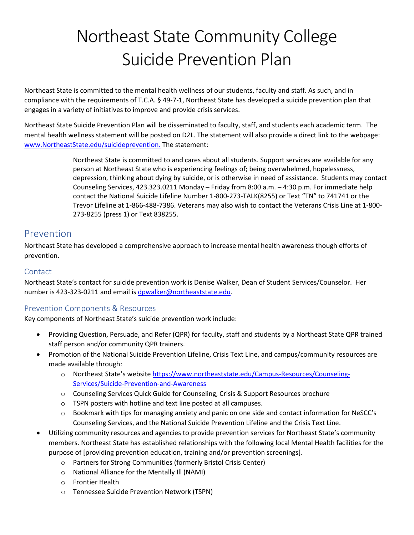# Northeast State Community College Suicide Prevention Plan

Northeast State is committed to the mental health wellness of our students, faculty and staff. As such, and in compliance with the requirements of T.C.A. § 49-7-1, Northeast State has developed a suicide prevention plan that engages in a variety of initiatives to improve and provide crisis services.

Northeast State Suicide Prevention Plan will be disseminated to faculty, staff, and students each academic term. The mental health wellness statement will be posted on D2L. The statement will also provide a direct link to the webpage: [www.NortheastState.edu/suicideprevention.](http://www.northeaststate.edu/suicideprevention) The statement:

> Northeast State is committed to and cares about all students. Support services are available for any person at Northeast State who is experiencing feelings of; being overwhelmed, hopelessness, depression, thinking about dying by suicide, or is otherwise in need of assistance. Students may contact Counseling Services, 423.323.0211 Monday – Friday from 8:00 a.m. – 4:30 p.m. For immediate help contact the National Suicide Lifeline Number 1-800-273-TALK(8255) or Text "TN" to 741741 or the Trevor Lifeline at 1-866-488-7386. Veterans may also wish to contact the Veterans Crisis Line at 1-800- 273-8255 (press 1) or Text 838255.

# Prevention

Northeast State has developed a comprehensive approach to increase mental health awareness though efforts of prevention.

### Contact

Northeast State's contact for suicide prevention work is Denise Walker, Dean of Student Services/Counselor. Her number is 423-323-0211 and email is [dpwalker@northeaststate.edu.](mailto:dpwalker@northeaststate.edu)

## Prevention Components & Resources

Key components of Northeast State's suicide prevention work include:

- Providing Question, Persuade, and Refer (QPR) for faculty, staff and students by a Northeast State QPR trained staff person and/or community QPR trainers.
- Promotion of the National Suicide Prevention Lifeline, Crisis Text Line, and campus/community resources are made available through:
	- o Northeast State's website https://www.northeaststate.edu/Campus-Resources/Counseling-Services/Suicide-Prevention-and-Awareness
	- o Counseling Services Quick Guide for Counseling, Crisis & Support Resources brochure
	- o TSPN posters with hotline and text line posted at all campuses.
	- $\circ$  Bookmark with tips for managing anxiety and panic on one side and contact information for NeSCC's Counseling Services, and the National Suicide Prevention Lifeline and the Crisis Text Line.
- Utilizing community resources and agencies to provide prevention services for Northeast State's community members. Northeast State has established relationships with the following local Mental Health facilities for the purpose of [providing prevention education, training and/or prevention screenings].
	- o Partners for Strong Communities (formerly Bristol Crisis Center)
	- o National Alliance for the Mentally Ill (NAMI)
	- o Frontier Health
	- o Tennessee Suicide Prevention Network (TSPN)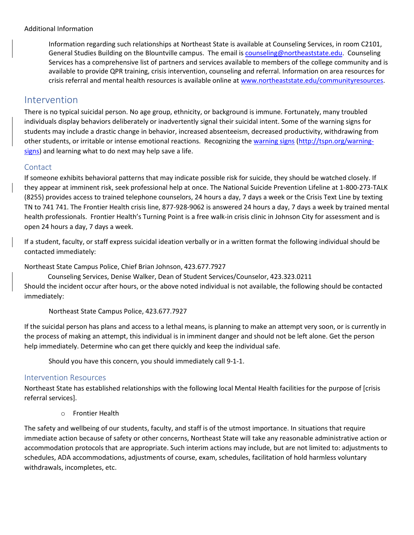#### Additional Information

Information regarding such relationships at Northeast State is available at Counseling Services, in room C2101, General Studies Building on the Blountville campus. The email is [counseling@northeaststate.edu.](mailto:counseling@northeaststate.edu) Counseling Services has a comprehensive list of partners and services available to members of the college community and is available to provide QPR training, crisis intervention, counseling and referral. Information on area resources for crisis referral and mental health resources is available online at [www.northeaststate.edu/communityresources.](http://www.northeaststate.edu/communityresources)

## Intervention

There is no typical suicidal person. No age group, ethnicity, or background is immune. Fortunately, many troubled individuals display behaviors deliberately or inadvertently signal their suicidal intent. Some of the warning signs for students may include a drastic change in behavior, increased absenteeism, decreased productivity, withdrawing from other students, or irritable or intense emotional reactions. Recognizing the [warning signs \(http://tspn.org/warning](http://tspn.org/warning-signs)[signs\)](http://tspn.org/warning-signs) and learning what to do next may help save a life.

#### **Contact**

If someone exhibits behavioral patterns that may indicate possible risk for suicide, they should be watched closely. If they appear at imminent risk, seek professional help at once. The National Suicide Prevention Lifeline at 1-800-273-TALK (8255) provides access to trained telephone counselors, 24 hours a day, 7 days a week or the Crisis Text Line by texting TN to 741 741. The Frontier Health crisis line, 877-928-9062 is answered 24 hours a day, 7 days a week by trained mental health professionals. Frontier Health's Turning Point is a free walk-in crisis clinic in Johnson City for assessment and is open 24 hours a day, 7 days a week.

If a student, faculty, or staff express suicidal ideation verbally or in a written format the following individual should be contacted immediately:

Northeast State Campus Police, Chief Brian Johnson, 423.677.7927

 Counseling Services, Denise Walker, Dean of Student Services/Counselor, 423.323.0211 Should the incident occur after hours, or the above noted individual is not available, the following should be contacted immediately:

Northeast State Campus Police, 423.677.7927

If the suicidal person has plans and access to a lethal means, is planning to make an attempt very soon, or is currently in the process of making an attempt, this individual is in imminent danger and should not be left alone. Get the person help immediately. Determine who can get there quickly and keep the individual safe.

Should you have this concern, you should immediately call 9-1-1.

#### Intervention Resources

Northeast State has established relationships with the following local Mental Health facilities for the purpose of [crisis referral services].

o Frontier Health

The safety and wellbeing of our students, faculty, and staff is of the utmost importance. In situations that require immediate action because of safety or other concerns, Northeast State will take any reasonable administrative action or accommodation protocols that are appropriate. Such interim actions may include, but are not limited to: adjustments to schedules, ADA accommodations, adjustments of course, exam, schedules, facilitation of hold harmless voluntary withdrawals, incompletes, etc.